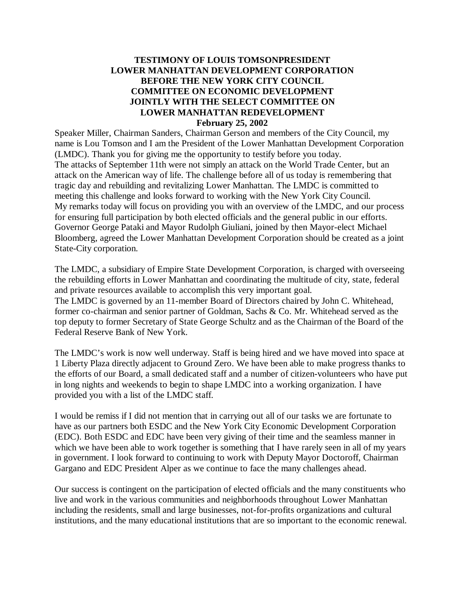## **TESTIMONY OF LOUIS TOMSONPRESIDENT LOWER MANHATTAN DEVELOPMENT CORPORATION BEFORE THE NEW YORK CITY COUNCIL COMMITTEE ON ECONOMIC DEVELOPMENT JOINTLY WITH THE SELECT COMMITTEE ON LOWER MANHATTAN REDEVELOPMENT February 25, 2002**

Speaker Miller, Chairman Sanders, Chairman Gerson and members of the City Council, my name is Lou Tomson and I am the President of the Lower Manhattan Development Corporation (LMDC). Thank you for giving me the opportunity to testify before you today. The attacks of September 11th were not simply an attack on the World Trade Center, but an attack on the American way of life. The challenge before all of us today is remembering that tragic day and rebuilding and revitalizing Lower Manhattan. The LMDC is committed to meeting this challenge and looks forward to working with the New York City Council. My remarks today will focus on providing you with an overview of the LMDC, and our process for ensuring full participation by both elected officials and the general public in our efforts. Governor George Pataki and Mayor Rudolph Giuliani, joined by then Mayor-elect Michael Bloomberg, agreed the Lower Manhattan Development Corporation should be created as a joint State-City corporation.

The LMDC, a subsidiary of Empire State Development Corporation, is charged with overseeing the rebuilding efforts in Lower Manhattan and coordinating the multitude of city, state, federal and private resources available to accomplish this very important goal. The LMDC is governed by an 11-member Board of Directors chaired by John C. Whitehead, former co-chairman and senior partner of Goldman, Sachs & Co. Mr. Whitehead served as the top deputy to former Secretary of State George Schultz and as the Chairman of the Board of the Federal Reserve Bank of New York.

The LMDC's work is now well underway. Staff is being hired and we have moved into space at 1 Liberty Plaza directly adjacent to Ground Zero. We have been able to make progress thanks to the efforts of our Board, a small dedicated staff and a number of citizen-volunteers who have put in long nights and weekends to begin to shape LMDC into a working organization. I have provided you with a list of the LMDC staff.

I would be remiss if I did not mention that in carrying out all of our tasks we are fortunate to have as our partners both ESDC and the New York City Economic Development Corporation (EDC). Both ESDC and EDC have been very giving of their time and the seamless manner in which we have been able to work together is something that I have rarely seen in all of my years in government. I look forward to continuing to work with Deputy Mayor Doctoroff, Chairman Gargano and EDC President Alper as we continue to face the many challenges ahead.

Our success is contingent on the participation of elected officials and the many constituents who live and work in the various communities and neighborhoods throughout Lower Manhattan including the residents, small and large businesses, not-for-profits organizations and cultural institutions, and the many educational institutions that are so important to the economic renewal.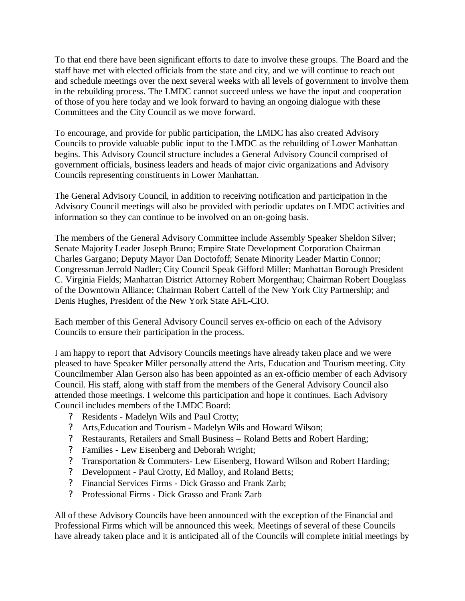To that end there have been significant efforts to date to involve these groups. The Board and the staff have met with elected officials from the state and city, and we will continue to reach out and schedule meetings over the next several weeks with all levels of government to involve them in the rebuilding process. The LMDC cannot succeed unless we have the input and cooperation of those of you here today and we look forward to having an ongoing dialogue with these Committees and the City Council as we move forward.

To encourage, and provide for public participation, the LMDC has also created Advisory Councils to provide valuable public input to the LMDC as the rebuilding of Lower Manhattan begins. This Advisory Council structure includes a General Advisory Council comprised of government officials, business leaders and heads of major civic organizations and Advisory Councils representing constituents in Lower Manhattan.

The General Advisory Council, in addition to receiving notification and participation in the Advisory Council meetings will also be provided with periodic updates on LMDC activities and information so they can continue to be involved on an on-going basis.

The members of the General Advisory Committee include Assembly Speaker Sheldon Silver; Senate Majority Leader Joseph Bruno; Empire State Development Corporation Chairman Charles Gargano; Deputy Mayor Dan Doctofoff; Senate Minority Leader Martin Connor; Congressman Jerrold Nadler; City Council Speak Gifford Miller; Manhattan Borough President C. Virginia Fields; Manhattan District Attorney Robert Morgenthau; Chairman Robert Douglass of the Downtown Alliance; Chairman Robert Cattell of the New York City Partnership; and Denis Hughes, President of the New York State AFL-CIO.

Each member of this General Advisory Council serves ex-officio on each of the Advisory Councils to ensure their participation in the process.

I am happy to report that Advisory Councils meetings have already taken place and we were pleased to have Speaker Miller personally attend the Arts, Education and Tourism meeting. City Councilmember Alan Gerson also has been appointed as an ex-officio member of each Advisory Council. His staff, along with staff from the members of the General Advisory Council also attended those meetings. I welcome this participation and hope it continues. Each Advisory Council includes members of the LMDC Board:

- ? Residents Madelyn Wils and Paul Crotty;
- ? Arts,Education and Tourism Madelyn Wils and Howard Wilson;
- ? Restaurants, Retailers and Small Business Roland Betts and Robert Harding;
- ? Families Lew Eisenberg and Deborah Wright;
- ? Transportation & Commuters- Lew Eisenberg, Howard Wilson and Robert Harding;
- ? Development Paul Crotty, Ed Malloy, and Roland Betts;
- ? Financial Services Firms Dick Grasso and Frank Zarb;
- ? Professional Firms Dick Grasso and Frank Zarb

All of these Advisory Councils have been announced with the exception of the Financial and Professional Firms which will be announced this week. Meetings of several of these Councils have already taken place and it is anticipated all of the Councils will complete initial meetings by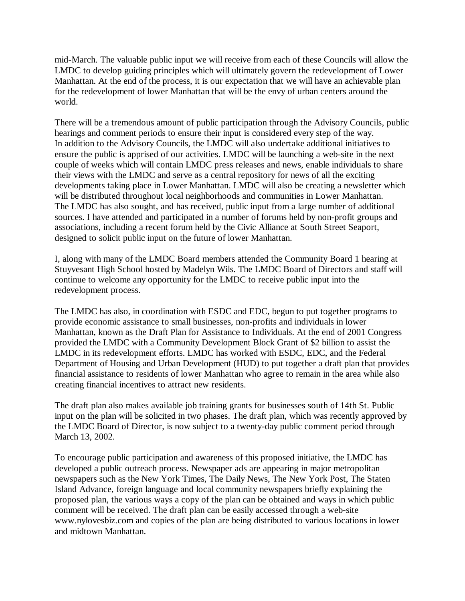mid-March. The valuable public input we will receive from each of these Councils will allow the LMDC to develop guiding principles which will ultimately govern the redevelopment of Lower Manhattan. At the end of the process, it is our expectation that we will have an achievable plan for the redevelopment of lower Manhattan that will be the envy of urban centers around the world.

There will be a tremendous amount of public participation through the Advisory Councils, public hearings and comment periods to ensure their input is considered every step of the way. In addition to the Advisory Councils, the LMDC will also undertake additional initiatives to ensure the public is apprised of our activities. LMDC will be launching a web-site in the next couple of weeks which will contain LMDC press releases and news, enable individuals to share their views with the LMDC and serve as a central repository for news of all the exciting developments taking place in Lower Manhattan. LMDC will also be creating a newsletter which will be distributed throughout local neighborhoods and communities in Lower Manhattan. The LMDC has also sought, and has received, public input from a large number of additional sources. I have attended and participated in a number of forums held by non-profit groups and associations, including a recent forum held by the Civic Alliance at South Street Seaport, designed to solicit public input on the future of lower Manhattan.

I, along with many of the LMDC Board members attended the Community Board 1 hearing at Stuyvesant High School hosted by Madelyn Wils. The LMDC Board of Directors and staff will continue to welcome any opportunity for the LMDC to receive public input into the redevelopment process.

The LMDC has also, in coordination with ESDC and EDC, begun to put together programs to provide economic assistance to small businesses, non-profits and individuals in lower Manhattan, known as the Draft Plan for Assistance to Individuals. At the end of 2001 Congress provided the LMDC with a Community Development Block Grant of \$2 billion to assist the LMDC in its redevelopment efforts. LMDC has worked with ESDC, EDC, and the Federal Department of Housing and Urban Development (HUD) to put together a draft plan that provides financial assistance to residents of lower Manhattan who agree to remain in the area while also creating financial incentives to attract new residents.

The draft plan also makes available job training grants for businesses south of 14th St. Public input on the plan will be solicited in two phases. The draft plan, which was recently approved by the LMDC Board of Director, is now subject to a twenty-day public comment period through March 13, 2002.

To encourage public participation and awareness of this proposed initiative, the LMDC has developed a public outreach process. Newspaper ads are appearing in major metropolitan newspapers such as the New York Times, The Daily News, The New York Post, The Staten Island Advance, foreign language and local community newspapers briefly explaining the proposed plan, the various ways a copy of the plan can be obtained and ways in which public comment will be received. The draft plan can be easily accessed through a web-site www.nylovesbiz.com and copies of the plan are being distributed to various locations in lower and midtown Manhattan.